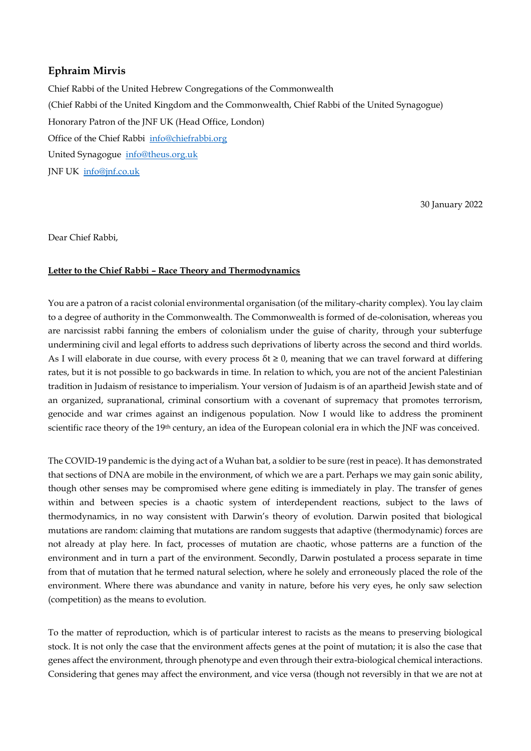## **Ephraim Mirvis**

Chief Rabbi of the United Hebrew Congregations of the Commonwealth (Chief Rabbi of the United Kingdom and the Commonwealth, Chief Rabbi of the United Synagogue) Honorary Patron of the JNF UK (Head Office, London) Office of the Chief Rabbi [info@chiefrabbi.org](mailto:info@chiefrabbi.org) United Synagogue [info@theus.org.uk](mailto:info@theus.org.uk) JNF UK [info@jnf.co.uk](mailto:info@jnf.co.uk)

30 January 2022

Dear Chief Rabbi,

## **Letter to the Chief Rabbi – Race Theory and Thermodynamics**

You are a patron of a racist colonial environmental organisation (of the military-charity complex). You lay claim to a degree of authority in the Commonwealth. The Commonwealth is formed of de-colonisation, whereas you are narcissist rabbi fanning the embers of colonialism under the guise of charity, through your subterfuge undermining civil and legal efforts to address such deprivations of liberty across the second and third worlds. As I will elaborate in due course, with every process  $\delta t \geq 0$ , meaning that we can travel forward at differing rates, but it is not possible to go backwards in time. In relation to which, you are not of the ancient Palestinian tradition in Judaism of resistance to imperialism. Your version of Judaism is of an apartheid Jewish state and of an organized, supranational, criminal consortium with a covenant of supremacy that promotes terrorism, genocide and war crimes against an indigenous population. Now I would like to address the prominent scientific race theory of the 19<sup>th</sup> century, an idea of the European colonial era in which the JNF was conceived.

The COVID-19 pandemic is the dying act of a Wuhan bat, a soldier to be sure (rest in peace). It has demonstrated that sections of DNA are mobile in the environment, of which we are a part. Perhaps we may gain sonic ability, though other senses may be compromised where gene editing is immediately in play. The transfer of genes within and between species is a chaotic system of interdependent reactions, subject to the laws of thermodynamics, in no way consistent with Darwin's theory of evolution. Darwin posited that biological mutations are random: claiming that mutations are random suggests that adaptive (thermodynamic) forces are not already at play here. In fact, processes of mutation are chaotic, whose patterns are a function of the environment and in turn a part of the environment. Secondly, Darwin postulated a process separate in time from that of mutation that he termed natural selection, where he solely and erroneously placed the role of the environment. Where there was abundance and vanity in nature, before his very eyes, he only saw selection (competition) as the means to evolution.

To the matter of reproduction, which is of particular interest to racists as the means to preserving biological stock. It is not only the case that the environment affects genes at the point of mutation; it is also the case that genes affect the environment, through phenotype and even through their extra-biological chemical interactions. Considering that genes may affect the environment, and vice versa (though not reversibly in that we are not at